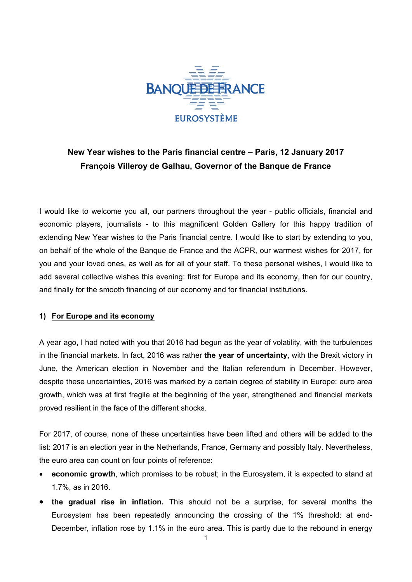

## **New Year wishes to the Paris financial centre – Paris, 12 January 2017 François Villeroy de Galhau, Governor of the Banque de France**

I would like to welcome you all, our partners throughout the year - public officials, financial and economic players, journalists - to this magnificent Golden Gallery for this happy tradition of extending New Year wishes to the Paris financial centre. I would like to start by extending to you, on behalf of the whole of the Banque de France and the ACPR, our warmest wishes for 2017, for you and your loved ones, as well as for all of your staff. To these personal wishes, I would like to add several collective wishes this evening: first for Europe and its economy, then for our country, and finally for the smooth financing of our economy and for financial institutions.

## **1) For Europe and its economy**

A year ago, I had noted with you that 2016 had begun as the year of volatility, with the turbulences in the financial markets. In fact, 2016 was rather **the year of uncertainty**, with the Brexit victory in June, the American election in November and the Italian referendum in December. However, despite these uncertainties, 2016 was marked by a certain degree of stability in Europe: euro area growth, which was at first fragile at the beginning of the year, strengthened and financial markets proved resilient in the face of the different shocks.

For 2017, of course, none of these uncertainties have been lifted and others will be added to the list: 2017 is an election year in the Netherlands, France, Germany and possibly Italy. Nevertheless, the euro area can count on four points of reference:

- **economic growth**, which promises to be robust; in the Eurosystem, it is expected to stand at 1.7%, as in 2016.
- **the gradual rise in inflation.** This should not be a surprise, for several months the Eurosystem has been repeatedly announcing the crossing of the 1% threshold: at end-December, inflation rose by 1.1% in the euro area. This is partly due to the rebound in energy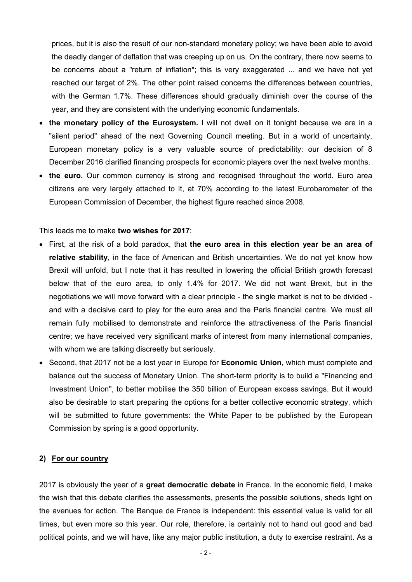prices, but it is also the result of our non-standard monetary policy; we have been able to avoid the deadly danger of deflation that was creeping up on us. On the contrary, there now seems to be concerns about a "return of inflation"; this is very exaggerated ... and we have not yet reached our target of 2%. The other point raised concerns the differences between countries, with the German 1.7%. These differences should gradually diminish over the course of the year, and they are consistent with the underlying economic fundamentals.

- **the monetary policy of the Eurosystem.** I will not dwell on it tonight because we are in a "silent period" ahead of the next Governing Council meeting. But in a world of uncertainty, European monetary policy is a very valuable source of predictability: our decision of 8 December 2016 clarified financing prospects for economic players over the next twelve months.
- the euro. Our common currency is strong and recognised throughout the world. Euro area citizens are very largely attached to it, at 70% according to the latest Eurobarometer of the European Commission of December, the highest figure reached since 2008.

This leads me to make **two wishes for 2017**:

- First, at the risk of a bold paradox, that **the euro area in this election year be an area of relative stability**, in the face of American and British uncertainties. We do not yet know how Brexit will unfold, but I note that it has resulted in lowering the official British growth forecast below that of the euro area, to only 1.4% for 2017. We did not want Brexit, but in the negotiations we will move forward with a clear principle - the single market is not to be divided and with a decisive card to play for the euro area and the Paris financial centre. We must all remain fully mobilised to demonstrate and reinforce the attractiveness of the Paris financial centre; we have received very significant marks of interest from many international companies, with whom we are talking discreetly but seriously.
- Second, that 2017 not be a lost year in Europe for **Economic Union**, which must complete and balance out the success of Monetary Union. The short-term priority is to build a "Financing and Investment Union", to better mobilise the 350 billion of European excess savings. But it would also be desirable to start preparing the options for a better collective economic strategy, which will be submitted to future governments: the White Paper to be published by the European Commission by spring is a good opportunity.

## **2) For our country**

2017 is obviously the year of a **great democratic debate** in France. In the economic field, I make the wish that this debate clarifies the assessments, presents the possible solutions, sheds light on the avenues for action. The Banque de France is independent: this essential value is valid for all times, but even more so this year. Our role, therefore, is certainly not to hand out good and bad political points, and we will have, like any major public institution, a duty to exercise restraint. As a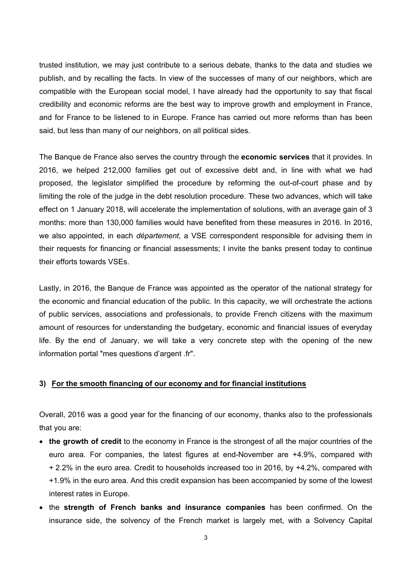trusted institution, we may just contribute to a serious debate, thanks to the data and studies we publish, and by recalling the facts. In view of the successes of many of our neighbors, which are compatible with the European social model, I have already had the opportunity to say that fiscal credibility and economic reforms are the best way to improve growth and employment in France, and for France to be listened to in Europe. France has carried out more reforms than has been said, but less than many of our neighbors, on all political sides.

The Banque de France also serves the country through the **economic services** that it provides. In 2016, we helped 212,000 families get out of excessive debt and, in line with what we had proposed, the legislator simplified the procedure by reforming the out-of-court phase and by limiting the role of the judge in the debt resolution procedure. These two advances, which will take effect on 1 January 2018, will accelerate the implementation of solutions, with an average gain of 3 months: more than 130,000 families would have benefited from these measures in 2016. In 2016, we also appointed, in each *département*, a VSE correspondent responsible for advising them in their requests for financing or financial assessments; I invite the banks present today to continue their efforts towards VSEs.

Lastly, in 2016, the Banque de France was appointed as the operator of the national strategy for the economic and financial education of the public. In this capacity, we will orchestrate the actions of public services, associations and professionals, to provide French citizens with the maximum amount of resources for understanding the budgetary, economic and financial issues of everyday life. By the end of January, we will take a very concrete step with the opening of the new information portal "mes questions d'argent .fr".

## **3) For the smooth financing of our economy and for financial institutions**

Overall, 2016 was a good year for the financing of our economy, thanks also to the professionals that you are:

- **the growth of credit** to the economy in France is the strongest of all the major countries of the euro area. For companies, the latest figures at end-November are +4.9%, compared with + 2.2% in the euro area. Credit to households increased too in 2016, by +4.2%, compared with +1.9% in the euro area. And this credit expansion has been accompanied by some of the lowest interest rates in Europe.
- the **strength of French banks and insurance companies** has been confirmed. On the insurance side, the solvency of the French market is largely met, with a Solvency Capital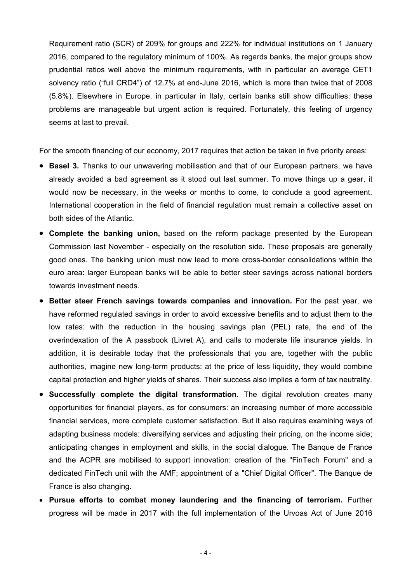Requirement ratio (SCR) of 209% for groups and 222% for individual institutions on 1 January 2016, compared to the regulatory minimum of 100%. As regards banks, the major groups show prudential ratios well above the minimum requirements, with in particular an average CET1 solvency ratio ("full CRD4") of 12.7% at end-June 2016, which is more than twice that of 2008 (5.8%). Elsewhere in Europe, in particular in Italy, certain banks still show difficulties: these problems are manageable but urgent action is required. Fortunately, this feeling of urgency seems at last to prevail.

For the smooth financing of our economy, 2017 requires that action be taken in five priority areas:

- **Basel 3.** Thanks to our unwavering mobilisation and that of our European partners, we have already avoided a bad agreement as it stood out last summer. To move things up a gear, it would now be necessary, in the weeks or months to come, to conclude a good agreement. International cooperation in the field of financial regulation must remain a collective asset on both sides of the Atlantic.
- **Complete the banking union,** based on the reform package presented by the European Commission last November - especially on the resolution side. These proposals are generally good ones. The banking union must now lead to more cross-border consolidations within the euro area: larger European banks will be able to better steer savings across national borders towards investment needs.
- **Better steer French savings towards companies and innovation.** For the past year, we have reformed regulated savings in order to avoid excessive benefits and to adjust them to the low rates: with the reduction in the housing savings plan (PEL) rate, the end of the overindexation of the A passbook (Livret A), and calls to moderate life insurance yields. In addition, it is desirable today that the professionals that you are, together with the public authorities, imagine new long-term products: at the price of less liquidity, they would combine capital protection and higher yields of shares. Their success also implies a form of tax neutrality.
- **Successfully complete the digital transformation.** The digital revolution creates many opportunities for financial players, as for consumers: an increasing number of more accessible financial services, more complete customer satisfaction. But it also requires examining ways of adapting business models: diversifying services and adjusting their pricing, on the income side; anticipating changes in employment and skills, in the social dialogue. The Banque de France and the ACPR are mobilised to support innovation: creation of the "FinTech Forum" and a dedicated FinTech unit with the AMF; appointment of a "Chief Digital Officer". The Banque de France is also changing.
- **Pursue efforts to combat money laundering and the financing of terrorism.** Further progress will be made in 2017 with the full implementation of the Urvoas Act of June 2016